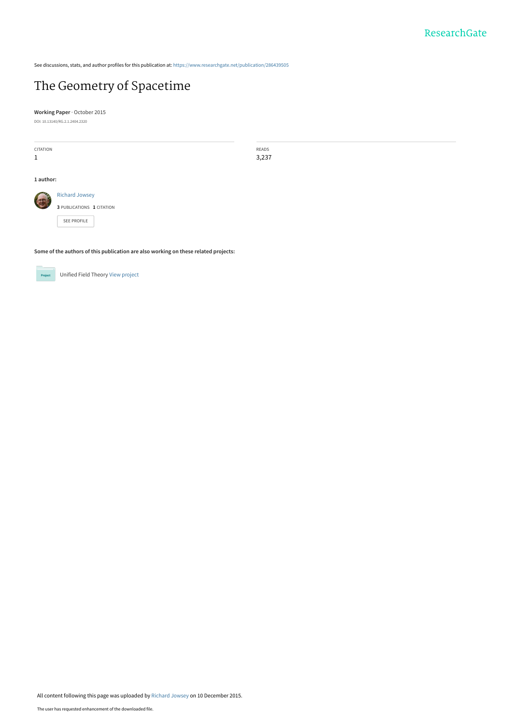See discussions, stats, and author profiles for this publication at: [https://www.researchgate.net/publication/286439505](https://www.researchgate.net/publication/286439505_The_Geometry_of_Spacetime?enrichId=rgreq-d38229a7ec026face9df0c0993704e1c-XXX&enrichSource=Y292ZXJQYWdlOzI4NjQzOTUwNTtBUzozMDQ5NjY0MjQ1NjM3MTJAMTQ0OTcyMTA3MDEyNA%3D%3D&el=1_x_2&_esc=publicationCoverPdf)

# [The Geometry of Spacetime](https://www.researchgate.net/publication/286439505_The_Geometry_of_Spacetime?enrichId=rgreq-d38229a7ec026face9df0c0993704e1c-XXX&enrichSource=Y292ZXJQYWdlOzI4NjQzOTUwNTtBUzozMDQ5NjY0MjQ1NjM3MTJAMTQ0OTcyMTA3MDEyNA%3D%3D&el=1_x_3&_esc=publicationCoverPdf)

**Working Paper** · October 2015 DOI: 10.13140/RG.2.1.2404.2320

| CITATION     |                                                    | READS |  |
|--------------|----------------------------------------------------|-------|--|
| $\mathbf{1}$ |                                                    | 3,237 |  |
| 1 author:    |                                                    |       |  |
| 125          | <b>Richard Jowsey</b><br>3 PUBLICATIONS 1 CITATION |       |  |
|              | SEE PROFILE                                        |       |  |

**Some of the authors of this publication are also working on these related projects:**



Unified Field Theory [View project](https://www.researchgate.net/project/Unified-Field-Theory-3?enrichId=rgreq-d38229a7ec026face9df0c0993704e1c-XXX&enrichSource=Y292ZXJQYWdlOzI4NjQzOTUwNTtBUzozMDQ5NjY0MjQ1NjM3MTJAMTQ0OTcyMTA3MDEyNA%3D%3D&el=1_x_9&_esc=publicationCoverPdf)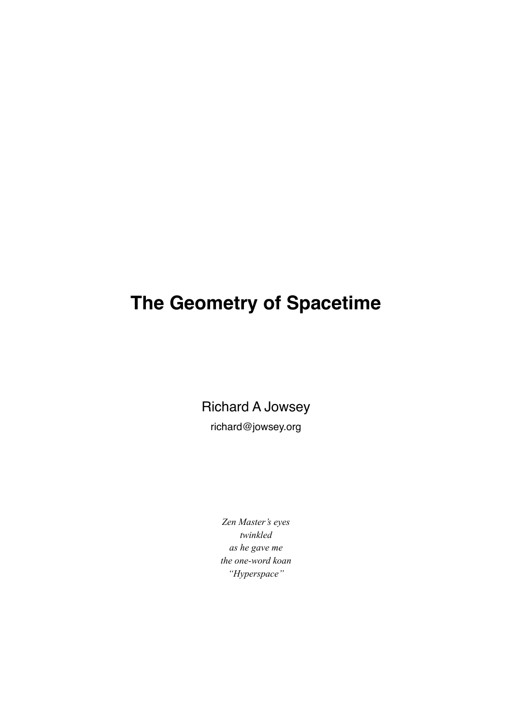# **The Geometry of Spacetime**

Richard A Jowsey

richard@jowsey.org

*Zen Master's eyes twinkled as he gave me the one-word koan "Hyperspace"*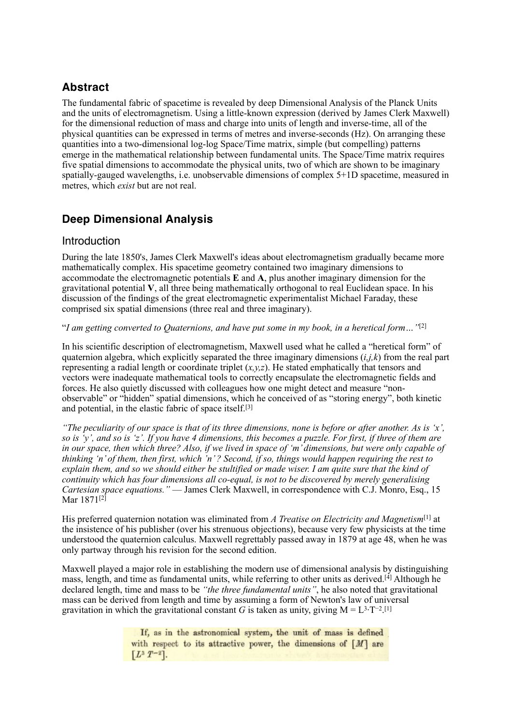# **Abstract**

The fundamental fabric of spacetime is revealed by deep Dimensional Analysis of the Planck Units and the units of electromagnetism. Using a little-known expression (derived by James Clerk Maxwell) for the dimensional reduction of mass and charge into units of length and inverse-time, all of the physical quantities can be expressed in terms of metres and inverse-seconds (Hz). On arranging these quantities into a two-dimensional log-log Space/Time matrix, simple (but compelling) patterns emerge in the mathematical relationship between fundamental units. The Space/Time matrix requires five spatial dimensions to accommodate the physical units, two of which are shown to be imaginary spatially-gauged wavelengths, i.e. unobservable dimensions of complex 5+1D spacetime, measured in metres, which *exist* but are not real.

# **Deep Dimensional Analysis**

#### Introduction

During the late 1850's, James Clerk Maxwell's ideas about electromagnetism gradually became more mathematically complex. His spacetime geometry contained two imaginary dimensions to accommodate the electromagnetic potentials **E** and **A**, plus another imaginary dimension for the gravitational potential **V**, all three being mathematically orthogonal to real Euclidean space. In his discussion of the findings of the great electromagnetic experimentalist Michael Faraday, these comprised six spatial dimensions (three real and three imaginary).

"*I am getting converted to Quaternions, and have put some in my book, in a heretical form…"*[2]

In his scientific description of electromagnetism, Maxwell used what he called a "heretical form" of quaternion algebra, which explicitly separated the three imaginary dimensions  $(i, j, k)$  from the real part representing a radial length or coordinate triplet  $(x, y, z)$ . He stated emphatically that tensors and vectors were inadequate mathematical tools to correctly encapsulate the electromagnetic fields and forces. He also quietly discussed with colleagues how one might detect and measure "nonobservable" or "hidden" spatial dimensions, which he conceived of as "storing energy", both kinetic and potential, in the elastic fabric of space itself.[3]

*"The peculiarity of our space is that of its three dimensions, none is before or after another. As is 'x', so is 'y', and so is 'z'. If you have 4 dimensions, this becomes a puzzle. For first, if three of them are in our space, then which three? Also, if we lived in space of 'm' dimensions, but were only capable of thinking 'n' of them, then first, which 'n' ? Second, if so, things would happen requiring the rest to explain them, and so we should either be stultified or made wiser. I am quite sure that the kind of continuity which has four dimensions all co-equal, is not to be discovered by merely generalising Cartesian space equations."* — James Clerk Maxwell, in correspondence with C.J. Monro, Esq., 15 Mar 1871<sup>[2]</sup>

His preferred quaternion notation was eliminated from *A Treatise on Electricity and Magnetism*[1] at the insistence of his publisher (over his strenuous objections), because very few physicists at the time understood the quaternion calculus. Maxwell regrettably passed away in 1879 at age 48, when he was only partway through his revision for the second edition.

Maxwell played a major role in establishing the modern use of dimensional analysis by distinguishing mass, length, and time as fundamental units, while referring to other units as derived.<sup>[4]</sup> Although he declared length, time and mass to be *"the three fundamental units"*, he also noted that gravitational mass can be derived from length and time by assuming a form of Newton's law of universal gravitation in which the gravitational constant *G* is taken as unity, giving  $M = L^{3}T^{-2}$ .<sup>[1]</sup>

> If, as in the astronomical system, the unit of mass is defined with respect to its attractive power, the dimensions of  $[M]$  are  $[L^3 T^{-2}].$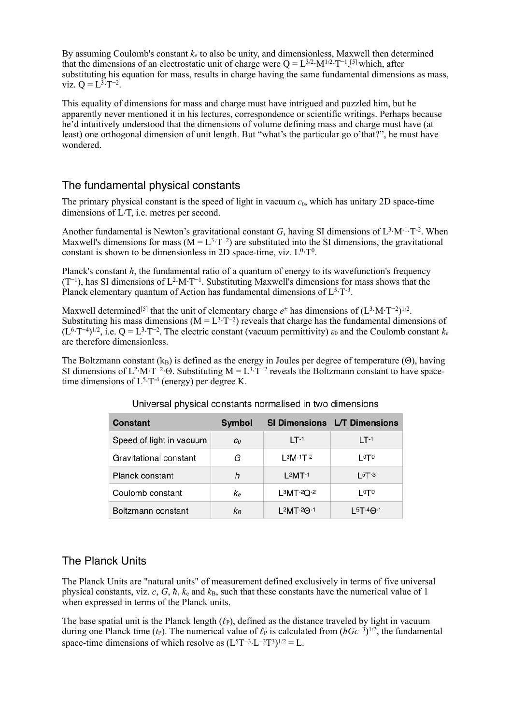By assuming Coulomb's constant *ke* to also be unity, and dimensionless, Maxwell then determined that the dimensions of an electrostatic unit of charge were  $Q = L^{3/2} \cdot M^{1/2} \cdot T^{-1}$ , [5] which, after substituting his equation for mass, results in charge having the same fundamental dimensions as mass, viz.  $Q = L^{3}T^{-2}$ .

This equality of dimensions for mass and charge must have intrigued and puzzled him, but he apparently never mentioned it in his lectures, correspondence or scientific writings. Perhaps because he'd intuitively understood that the dimensions of volume defining mass and charge must have (at least) one orthogonal dimension of unit length. But "what's the particular go o'that?", he must have wondered.

## The fundamental physical constants

The primary physical constant is the speed of light in vacuum  $c_0$ , which has unitary 2D space-time dimensions of L/T, i.e. metres per second.

Another fundamental is Newton's gravitational constant *G*, having SI dimensions of  $L^3 \cdot M^{-1} \cdot T^{-2}$ . When Maxwell's dimensions for mass ( $M = L^{3}T^{-2}$ ) are substituted into the SI dimensions, the gravitational constant is shown to be dimensionless in 2D space-time, viz.  $L^{0}T^{0}$ .

Planck's constant *h*, the fundamental ratio of a quantum of energy to its wavefunction's frequency (T<sup>−</sup>1), has SI dimensions of L2·M·T−1. Substituting Maxwell's dimensions for mass shows that the Planck elementary quantum of Action has fundamental dimensions of  $L^{5}T^{3}$ .

Maxwell determined<sup>[5]</sup> that the unit of elementary charge  $e^{\pm}$  has dimensions of  $(L^3 \cdot M \cdot T^{-2})^{1/2}$ . Substituting his mass dimensions ( $M = L^{3}T^{-2}$ ) reveals that charge has the fundamental dimensions of (L6·T−4)1/2, i.e. Q = L3·T−2. The electric constant (vacuum permittivity) *ε*0 and the Coulomb constant *ke*  are therefore dimensionless.

The Boltzmann constant  $(k_B)$  is defined as the energy in Joules per degree of temperature (Θ), having SI dimensions of L<sup>2</sup>·M·T<sup>-2</sup>·Θ. Substituting M = L<sup>3</sup>·T<sup>-2</sup> reveals the Boltzmann constant to have spacetime dimensions of  $L^{5}T^{-4}$  (energy) per degree K.

| Constant                 | Symbol         |                         | SI Dimensions L/T Dimensions |
|--------------------------|----------------|-------------------------|------------------------------|
| Speed of light in vacuum | c <sub>0</sub> | $1T-1$                  | $1T-1$                       |
| Gravitational constant   | G              | L <sup>3</sup> M·1T·2   | ∣0⊤0                         |
| Planck constant          | h              | $L^2$ MT-1              | $15T-3$                      |
| Coulomb constant         | Кe             | $L^3$ MT-2Q-2           | ∟o⊤o                         |
| Boltzmann constant       | kв             | $L^2MT^{-2}\Theta^{-1}$ | $15T-4\Theta-1$              |

#### Universal physical constants normalised in two dimensions

#### The Planck Units

The Planck Units are "natural units" of measurement defined exclusively in terms of five universal physical constants, viz.  $c$ ,  $G$ ,  $\hbar$ ,  $k_e$  and  $k_B$ , such that these constants have the numerical value of 1 when expressed in terms of the Planck units.

The base spatial unit is the [Planck length](https://en.wikipedia.org/wiki/Planck_length)  $(\ell_P)$ , defined as the distance traveled by light in vacuum during one [Planck time](https://en.wikipedia.org/wiki/Planck_time) (*t*<sub>P</sub>). The numerical value of  $\ell_P$  is calculated from  $(\hbar G c^{-3})^{1/2}$ , the fundamental space-time dimensions of which resolve as  $(L5T^{-3} \cdot L^{-3}T^{3})^{1/2} = L$ .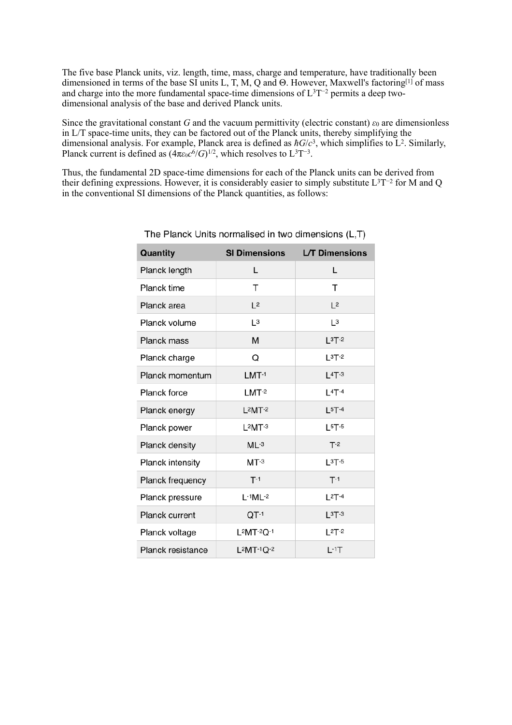The five base Planck units, viz. length, time, mass, charge and temperature, have traditionally been dimensioned in terms of the base SI units L, T, M, Q and  $\Theta$ . However, Maxwell's factoring<sup>[1]</sup> of mass and charge into the more fundamental space-time dimensions of L3T−2 permits a deep twodimensional analysis of the base and derived Planck units.

Since the gravitational constant *G* and the [vacuum permittivity](https://en.wikipedia.org/wiki/Vacuum_permittivity) (electric constant)  $\varepsilon_0$  are dimensionless in L/T space-time units, they can be factored out of the Planck units, thereby simplifying the dimensional analysis. For example, Planck area is defined as  $\hbar G/c^3$ , which simplifies to L<sup>2</sup>. Similarly, Planck current is defined as  $(4\pi\varepsilon_0 c^6/G)^{1/2}$ , which resolves to L<sup>3</sup>T<sup>-3</sup>.

Thus, the fundamental 2D space-time dimensions for each of the Planck units can be derived from their defining expressions. However, it is considerably easier to simply substitute L3T−2 for M and Q in the conventional SI dimensions of the Planck quantities, as follows:

| Quantity                 | <b>SI Dimensions</b> | <b>L/T Dimensions</b> |  |
|--------------------------|----------------------|-----------------------|--|
| Planck length            | L                    | L                     |  |
| Planck time              | т                    | т                     |  |
| Planck area              | L <sup>2</sup>       | L <sup>2</sup>        |  |
| Planck volume            | L <sup>3</sup>       | L <sup>3</sup>        |  |
| Planck mass              | М                    | $L3T-2$               |  |
| Planck charge            | Q                    | $L^{3}T^{-2}$         |  |
| Planck momentum          | $LMT-1$              | $L4T-3$               |  |
| <b>Planck force</b>      | $LMT-2$              | $L4T-4$               |  |
| Planck energy            | $L^2$ MT $-2$        | $L5T-4$               |  |
| Planck power             | $L^2$ MT $-3$        | $L5T-5$               |  |
| Planck density           | $ML-3$               | $T-2$                 |  |
| Planck intensity         | $MT-3$               | $L3T-5$               |  |
| Planck frequency         | $T-1$                | $T-1$                 |  |
| Planck pressure          | $L-1ML-2$            | $L^{2}T^{-4}$         |  |
| Planck current           | $QT-1$               | $L^{3}T^{-3}$         |  |
| Planck voltage           | $L^2MT^{-2}Q^{-1}$   | $L^{2}T^{-2}$         |  |
| <b>Planck resistance</b> | $L^2MT^{-1}Q^{-2}$   | $L-1$ T               |  |

The Planck Units normalised in two dimensions (L.T)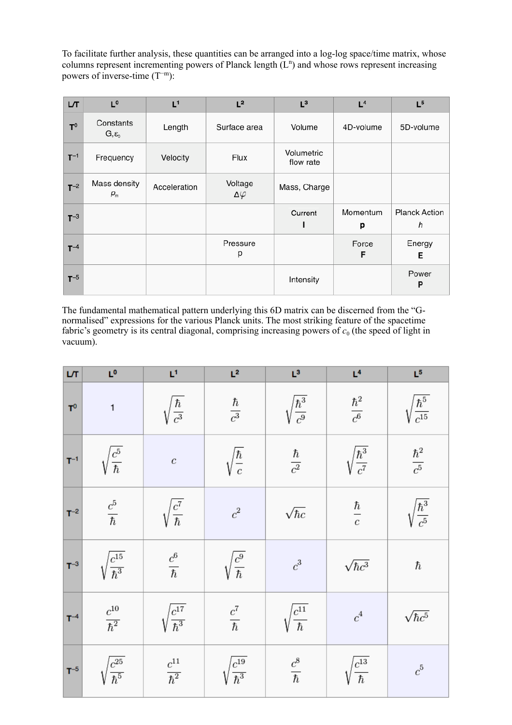To facilitate further analysis, these quantities can be arranged into a log-log space/time matrix, whose columns represent incrementing powers of Planck length  $(L<sup>n</sup>)$  and whose rows represent increasing powers of inverse-time (T<sup>−</sup>m):

| LT       | $L^0$                                            | L <sup>1</sup> | L <sup>2</sup>             | $L^3$                   | L <sup>4</sup> | L <sup>5</sup>            |
|----------|--------------------------------------------------|----------------|----------------------------|-------------------------|----------------|---------------------------|
| $T^0$    | Constants<br>$G, \varepsilon_{0}$                | Length         | Surface area               | Volume                  | 4D-volume      | 5D-volume                 |
| $T^{-1}$ | Frequency                                        | Velocity       | Flux                       | Volumetric<br>flow rate |                |                           |
| $T^{-2}$ | Mass density<br>$\rho_{\scriptscriptstyle\rm m}$ | Acceleration   | Voltage<br>$\Delta\varphi$ | Mass, Charge            |                |                           |
| $T^{-3}$ |                                                  |                |                            | Current<br>ı            | Momentum<br>р  | <b>Planck Action</b><br>h |
| $T^{-4}$ |                                                  |                | Pressure<br>р              |                         | Force<br>F     | Energy<br>Е               |
| $T^{-5}$ |                                                  |                |                            | Intensity               |                | Power<br>P                |

The fundamental mathematical pattern underlying this 6D matrix can be discerned from the "Gnormalised" expressions for the various Planck units. The most striking feature of the spacetime fabric's geometry is its central diagonal, comprising increasing powers of *c*0 (the speed of light in vacuum).

| LЛ       | L <sup>0</sup>                  | L1                              | L <sup>2</sup>             | $L^3$                         | L <sup>4</sup>                | $\mathsf{L}^5$               |
|----------|---------------------------------|---------------------------------|----------------------------|-------------------------------|-------------------------------|------------------------------|
| $T^0$    | $\mathbf{1}$                    | $\sqrt{\frac{\hbar}{c^3}}$      | $\frac{\hbar}{c^3}$        | $\sqrt{\frac{\hbar^3}{c^9}}$  | $\frac{\hbar^2}{c^6}$         | $\frac{\hbar^5}{c^{15}}$     |
| $T^{-1}$ | $\sqrt{\frac{c^5}{\hbar}}$      | $\boldsymbol{c}$                | $\sqrt{\frac{\hbar}{c}}$   | $\frac{\hbar}{c^2}$           | $\sqrt{\frac{\hbar^3}{c^7}}$  | $\frac{\hbar^2}{c^5}$        |
| $T^{-2}$ | $\frac{c^5}{\hbar}$             | $\sqrt{\frac{c^7}{\hbar}}$      | $\boldsymbol{c}^2$         | $\sqrt{\hbar c}$              | $rac{\hbar}{c}$               | $\sqrt{\frac{\hbar^3}{c^5}}$ |
| $T^{-3}$ | $\sqrt{\frac{c^{15}}{\hbar^3}}$ | $\frac{c^6}{\hbar}$             | $\sqrt{\frac{c^9}{\hbar}}$ | $\boldsymbol{c}^3$            | $\sqrt{\hbar c^3}$            | $\hbar$                      |
| $T^{-4}$ | $\frac{c^{10}}{\hbar^2}$        | $\sqrt{\frac{c^{17}}{\hbar^3}}$ | $\frac{c^7}{\hbar}$        | $\sqrt{\frac{c^{11}}{\hbar}}$ | $\boldsymbol{c}^4$            | $\sqrt{\hbar c^5}$           |
| $T^{-5}$ | $\sqrt{\frac{c^{25}}{\hbar^5}}$ | $\frac{c^{11}}{\hbar^2}$        | $\frac{c^{19}}{\hbar^3}$   | $\frac{c^8}{\hbar}$           | $\sqrt{\frac{c^{13}}{\hbar}}$ | $\boldsymbol{c}^5$           |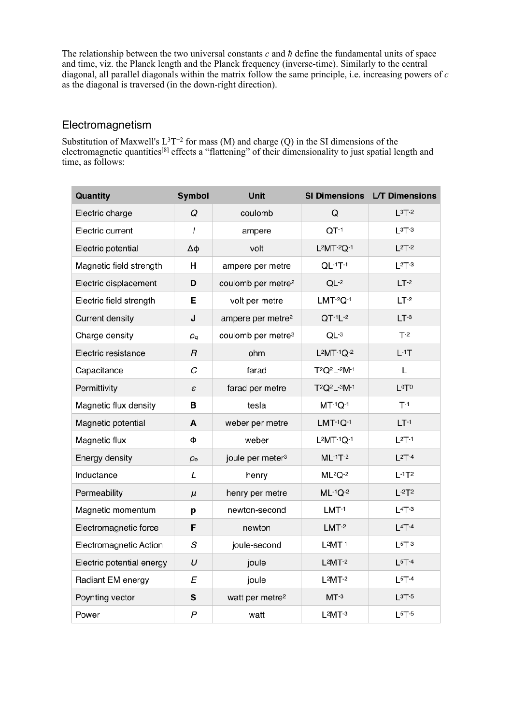The relationship between the two universal constants *c* and *ħ* define the fundamental units of space and time, viz. the Planck length and the Planck frequency (inverse-time). Similarly to the central diagonal, all parallel diagonals within the matrix follow the same principle, i.e. increasing powers of *c*  as the diagonal is traversed (in the down-right direction).

#### Electromagnetism

Substitution of Maxwell's L<sup>3</sup>T<sup>-2</sup> for mass (M) and charge (Q) in the SI dimensions of the electromagnetic quantities<sup>[8]</sup> effects a "flattening" of their dimensionality to just spatial length and time, as follows:

| Quantity                  | Symbol           | Unit                           |                                                   | SI Dimensions L/T Dimensions |
|---------------------------|------------------|--------------------------------|---------------------------------------------------|------------------------------|
| Electric charge           | Q                | coulomb                        | Q                                                 | $L^{3}T^{-2}$                |
| Electric current          | ı                | ampere                         | $QT-1$                                            | $L^{3}T^{-3}$                |
| Electric potential        | Δφ               | volt                           | $L^2MT^{-2}Q^{-1}$                                | $L^{2}T^{-2}$                |
| Magnetic field strength   | н                | ampere per metre               | $QL^{-1}T^{-1}$                                   | $L^{2}T^{-3}$                |
| Electric displacement     | D                | coulomb per metre <sup>2</sup> | $QL-2$                                            | $LT-2$                       |
| Electric field strength   | Е                | volt per metre                 | $LMT-2Q-1$                                        | $LT-2$                       |
| Current density           | J                | ampere per metre <sup>2</sup>  | $QT-1L-2$                                         | $LT-3$                       |
| Charge density            | $\rho_q$         | coulomb per metre <sup>3</sup> | $QL^{-3}$                                         | $T-2$                        |
| Electric resistance       | $\sqrt{R}$       | ohm                            | $L^2MT^{-1}Q^{-2}$                                | $L-1T$                       |
| Capacitance               | C                | farad                          | T <sup>2</sup> Q <sup>2</sup> L- <sup>2</sup> M-1 | L                            |
| Permittivity              | ε                | farad per metre                | T <sub>2</sub> Q <sub>2</sub> L-3M-1              | LOTO                         |
| Magnetic flux density     | в                | tesla                          | $MT^{-1}Q^{-1}$                                   | $T-1$                        |
| Magnetic potential        | A                | weber per metre                | $LMT-1Q-1$                                        | $LT-1$                       |
| Magnetic flux             | Ф                | weber                          | $L^2MT^{-1}Q^{-1}$                                | $L^2T^{-1}$                  |
| Energy density            | $\rho_e$         | joule per meter <sup>3</sup>   | $ML-1T-2$                                         | $L^{2}T-4$                   |
| Inductance                | L                | henry                          | $ML^2Q^{-2}$                                      | $L-1T2$                      |
| Permeability              | $\mu$            | henry per metre                | $ML^{-1}Q^{-2}$                                   | $L-2T2$                      |
| Magnetic momentum         | р                | newton-second                  | $LMT-1$                                           | $L4T-3$                      |
| Electromagnetic force     | F                | newton                         | $LMT-2$                                           | $L4T-4$                      |
| Electromagnetic Action    | S                | joule-second                   | $L^2$ MT-1                                        | $L^{5}T^{-3}$                |
| Electric potential energy | U                | joule                          | $L^2MT^{-2}$                                      | $L^{5}T^{-4}$                |
| Radiant EM energy         | E                | joule                          | $L^2MT^{-2}$                                      | $L^{5}T^{-4}$                |
| Poynting vector           | S                | watt per metre <sup>2</sup>    | $MT-3$                                            | $L^{3}T^{-5}$                |
| Power                     | $\boldsymbol{P}$ | watt                           | $L^2MT^{-3}$                                      | $L5T-5$                      |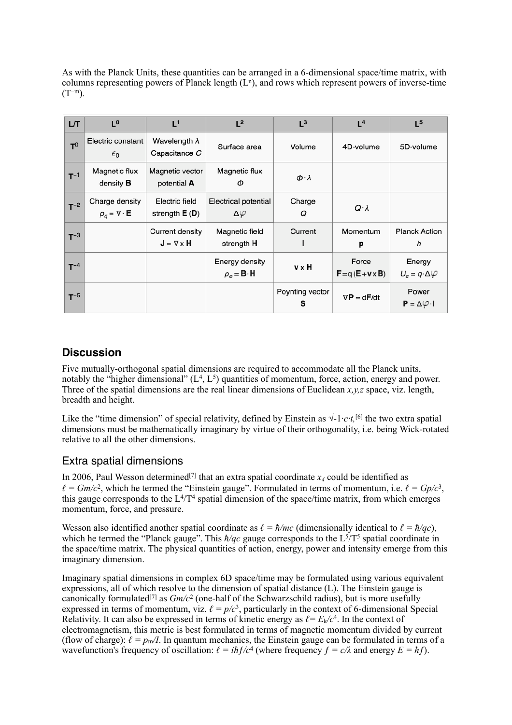As with the Planck Units, these quantities can be arranged in a 6-dimensional space/time matrix, with columns representing powers of Planck length  $(L<sup>n</sup>)$ , and rows which represent powers of inverse-time  $(T^{-m})$ .

| LT       | $\mathsf{r}_\mathsf{o}$                              | L <sup>1</sup>                           | L <sup>2</sup>                                           | $L^3$                | L <sup>4</sup>                   | L <sup>5</sup>                                       |
|----------|------------------------------------------------------|------------------------------------------|----------------------------------------------------------|----------------------|----------------------------------|------------------------------------------------------|
| $T^0$    | Electric constant<br>$\epsilon_0$                    | Wavelength $\lambda$<br>Capacitance C    | Surface area                                             | Volume               | 4D-volume                        | 5D-volume                                            |
| $T^{-1}$ | Magnetic flux<br>density <b>B</b>                    | Magnetic vector<br>potential A           | Magnetic flux<br>Φ                                       | $\phi \cdot \lambda$ |                                  |                                                      |
| $T^{-2}$ | Charge density<br>$\rho_a = \nabla \cdot \mathbf{E}$ | Electric field<br>strength $E(D)$        | Electrical potential<br>Δφ                               | Charge<br>Q          | $Q \cdot \lambda$                |                                                      |
| $T^{-3}$ |                                                      | Current density<br>$J = \nabla \times H$ | Magnetic field<br>strength H                             | Current              | Momentum<br>р                    | <b>Planck Action</b><br>h                            |
| $T^{-4}$ |                                                      |                                          | Energy density<br>$\rho_e = \mathbf{B} \cdot \mathbf{H}$ | v x H                | Force<br>$F = q(E + v \times B)$ | Energy<br>$U_{\varepsilon} = q \cdot \Delta \varphi$ |
| $T^{-5}$ |                                                      |                                          |                                                          | Poynting vector<br>s | $\nabla P = dF/dt$               | Power<br>$P = \Delta \varphi \cdot I$                |

#### **Discussion**

Five mutually-orthogonal spatial dimensions are required to accommodate all the Planck units, notably the "higher dimensional"  $(L<sup>4</sup>, L<sup>5</sup>)$  quantities of momentum, force, action, energy and power. Three of the spatial dimensions are the real linear dimensions of Euclidean  $x, y, z$  space, viz. length, breadth and height.

Like the "time dimension" of special relativity, defined by Einstein as  $\sqrt{1/c}t$ , [6] the two extra spatial dimensions must be mathematically imaginary by virtue of their orthogonality, i.e. being Wick-rotated relative to all the other dimensions.

#### Extra spatial dimensions

In 2006, Paul Wesson determined<sup>[7]</sup> that an extra spatial coordinate  $x_4$  could be identified as  $\ell = Gm/c^2$ , which he termed the "Einstein gauge". Formulated in terms of momentum, i.e.  $\ell = Gp/c^3$ , this gauge corresponds to the  $L^4/T^4$  spatial dimension of the space/time matrix, from which emerges momentum, force, and pressure.

Wesson also identified another spatial coordinate as  $\ell = \hbar/mc$  (dimensionally identical to  $\ell = \hbar/qc$ ), which he termed the "Planck gauge". This  $\hbar/qc$  gauge corresponds to the L<sup>5</sup>/T<sup>5</sup> spatial coordinate in the space/time matrix. The physical quantities of action, energy, power and intensity emerge from this imaginary dimension.

Imaginary spatial dimensions in complex 6D space/time may be formulated using various equivalent expressions, all of which resolve to the dimension of spatial distance (L). The Einstein gauge is canonically formulated[7] as *Gm/c*2 (one-half of the Schwarzschild radius), but is more usefully expressed in terms of momentum, viz.  $\ell = p/c^3$ , particularly in the context of 6-dimensional Special Relativity. It can also be expressed in terms of kinetic energy as  $\ell = E_k/c^4$ . In the context of electromagnetism, this metric is best formulated in terms of magnetic momentum divided by current (flow of charge):  $\ell = p_m/I$ . In quantum mechanics, the Einstein gauge can be formulated in terms of a wavefunction's frequency of oscillation:  $\ell = i\hbar f/c^4$  (where frequency  $f = c/\lambda$  and energy  $E = \hbar f$ ).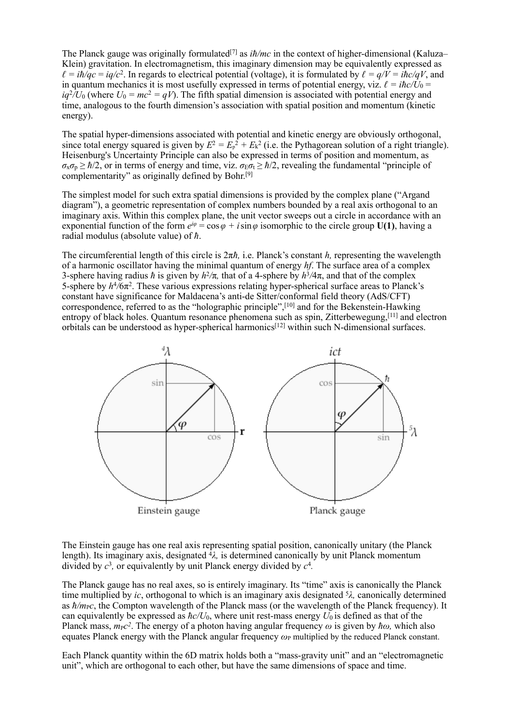The Planck gauge was originally formulated[7] as *iħ/mc* in the context of higher-dimensional (Kaluza– Klein) gravitation. In electromagnetism, this imaginary dimension may be equivalently expressed as  $\ell = i\hbar/ac = i\frac{q}{c^2}$ . In regards to electrical potential (voltage), it is formulated by  $\ell = \frac{q}{V} = i\hbar c/\frac{q}{V}$ , and in quantum mechanics it is most usefully expressed in terms of potential energy, viz.  $\ell = i\hbar c/\tilde{U}_0$  =  $iq^{2}/U_{0}$  (where  $U_{0} = mc^{2} = qV$ ). The fifth spatial dimension is associated with potential energy and time, analogous to the fourth dimension's association with spatial position and momentum (kinetic energy).

The spatial hyper-dimensions associated with potential and kinetic energy are obviously orthogonal, since total energy squared is given by  $E^2 = E_p^2 + E_k^2$  (i.e. the Pythagorean solution of a right triangle). Heisenburg's Uncertainty Principle can also be expressed in terms of position and momentum, as  $\sigma_x \sigma_p \ge \hbar/2$ , or in terms of energy and time, viz.  $\sigma_E \sigma_t \ge \hbar/2$ , revealing the fundamental "principle of complementarity" as originally defined by Bohr.[9]

The simplest model for such extra spatial dimensions is provided by the complex plane ("Argand diagram"), a geometric representation of complex numbers bounded by a real axis orthogonal to an imaginary axis. Within this complex plane, the unit vector sweeps out a circle in accordance with an exponential function of the form  $e^{i\varphi} = \cos \varphi + i \sin \varphi$  isomorphic to the circle group **U(1)**, having a radial modulus (absolute value) of *ħ*.

The circumferential length of this circle is 2π*ħ,* i.e. Planck's constant *h,* representing the wavelength of a harmonic oscillator having the minimal quantum of energy *hf*. The surface area of a complex 3-sphere having radius *ħ* is given by  $h^2/\pi$ , that of a 4-sphere by  $h^3/4\pi$ , and that of the complex 5-sphere by *h*<sup>4</sup>*/*6π2. These various expressions relating hyper-spherical surface areas to Planck's constant have significance for Maldacena's anti-de Sitter/conformal field theory (AdS/CFT) correspondence, referred to as the "holographic principle",[10] and for the Bekenstein-Hawking entropy of black holes. Quantum resonance phenomena such as spin, Zitterbewegung,[11] and electron orbitals can be understood as hyper-spherical harmonics[12] within such N-dimensional surfaces.



The Einstein gauge has one real axis representing spatial position, canonically unitary (the Planck length). Its imaginary axis, designated 4*λ,* is determined canonically by unit Planck momentum divided by *c*<sup>3</sup>*,* or equivalently by unit Planck energy divided by *c*<sup>4</sup>*.* 

The Planck gauge has no real axes, so is entirely imaginary. Its "time" axis is canonically the Planck time multiplied by *ic*, orthogonal to which is an imaginary axis designated 5*λ,* canonically determined as  $\hbar/m_Pc$ , the Compton wavelength of the Planck mass (or the wavelength of the Planck frequency). It can equivalently be expressed as  $\hbar c/U_0$ , where unit rest-mass energy  $U_0$  is defined as that of the Planck mass,  $mpc^2$ . The energy of a photon having angular frequency  $\omega$  is given by  $\hbar\omega$ , which also equates Planck energy with the Planck angular frequency *ω*P multiplied by the reduced Planck constant.

Each Planck quantity within the 6D matrix holds both a "mass-gravity unit" and an "electromagnetic unit", which are orthogonal to each other, but have the same dimensions of space and time.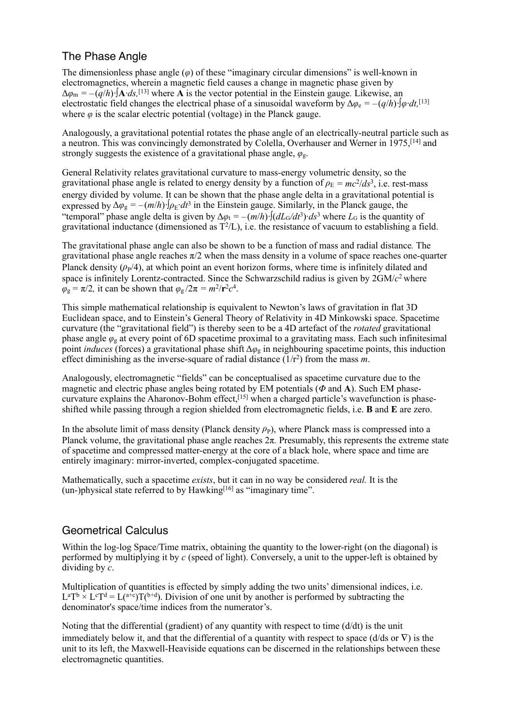# The Phase Angle

The dimensionless phase angle (*φ*) of these "imaginary circular dimensions" is well-known in electromagnetics, wherein a magnetic field causes a change in magnetic phase given by  $\Delta\varphi_{\rm m} = -(q/h)\cdot[\mathbf{A}\cdot ds]$ <sup>[13]</sup> where **A** is the vector potential in the Einstein gauge. Likewise, an electrostatic field changes the electrical phase of a sinusoidal waveform by  $\Delta \varphi_e = -(q/h) \cdot [\varphi \cdot dt,$ <sup>[13]</sup> where  $\varphi$  is the scalar electric potential (voltage) in the Planck gauge.

Analogously, a gravitational potential rotates the phase angle of an electrically-neutral particle such as a neutron. This was convincingly demonstrated by Colella, Overhauser and Werner in 1975,[14] and strongly suggests the existence of a gravitational phase angle, *φ*g.

General Relativity relates gravitational curvature to mass-energy volumetric density, so the gravitational phase angle is related to energy density by a function of  $\rho_E = mc^2/ds^3$ , i.e. rest-mass energy divided by volume. It can be shown that the phase angle delta in a gravitational potential is expressed by  $\Delta \varphi_g = -(m/h) \cdot \varphi_f \cdot d\tau^3$  in the Einstein gauge. Similarly, in the Planck gauge, the "temporal" phase angle delta is given by  $\Delta \varphi_t = -(m/h) \cdot \int (dL \varsigma / dt^3) \cdot ds^3$  where  $L_G$  is the quantity of gravitational inductance (dimensioned as  $T<sup>2</sup>/L$ ), i.e. the resistance of vacuum to establishing a field.

The gravitational phase angle can also be shown to be a function of mass and radial distance*.* The gravitational phase angle reaches  $\pi/2$  when the mass density in a volume of space reaches one-quarter Planck density  $(\rho_P/4)$ , at which point an event horizon forms, where time is infinitely dilated and space is infinitely Lorentz-contracted. Since the Schwarzschild radius is given by 2GM/*c*2 where  $\varphi_{\rm g} = \pi/2$ , it can be shown that  $\varphi_{\rm g}/2\pi = m^2/r^2c^4$ .

This simple mathematical relationship is equivalent to Newton's laws of gravitation in flat 3D Euclidean space, and to Einstein's General Theory of Relativity in 4D Minkowski space. Spacetime curvature (the "gravitational field") is thereby seen to be a 4D artefact of the *rotated* gravitational phase angle *φ*g at every point of 6D spacetime proximal to a gravitating mass. Each such infinitesimal point *induces* (forces) a gravitational phase shift Δ*φ*g in neighbouring spacetime points, this induction effect diminishing as the inverse-square of radial distance (1/r2) from the mass *m*.

Analogously, electromagnetic "fields" can be conceptualised as spacetime curvature due to the magnetic and electric phase angles being rotated by EM potentials (*Φ* and **A**). Such EM phasecurvature explains the Aharonov-Bohm effect,[15] when a charged particle's wavefunction is phaseshifted while passing through a region shielded from electromagnetic fields, i.e. **B** and **E** are zero.

In the absolute limit of mass density (Planck density  $\rho_P$ ), where Planck mass is compressed into a Planck volume, the gravitational phase angle reaches 2π*.* Presumably, this represents the extreme state of spacetime and compressed matter-energy at the core of a black hole, where space and time are entirely imaginary: mirror-inverted, complex-conjugated spacetime.

Mathematically, such a spacetime *exists*, but it can in no way be considered *real.* It is the (un-)physical state referred to by  $Hawking<sup>[16]</sup>$  as "imaginary time".

# Geometrical Calculus

Within the log-log Space/Time matrix, obtaining the quantity to the lower-right (on the diagonal) is performed by multiplying it by *c* (speed of light). Conversely, a unit to the upper-left is obtained by dividing by *c*.

Multiplication of quantities is effected by simply adding the two units' dimensional indices, i.e.  $L^aT^b \times L^cT^d = L^{a+c}T^{b+d}$ . Division of one unit by another is performed by subtracting the denominator's space/time indices from the numerator's.

Noting that the differential (gradient) of any quantity with respect to time (d/dt) is the unit immediately below it, and that the differential of a quantity with respect to space (d/ds or  $\nabla$ ) is the unit to its left, the Maxwell-Heaviside equations can be discerned in the relationships between these electromagnetic quantities.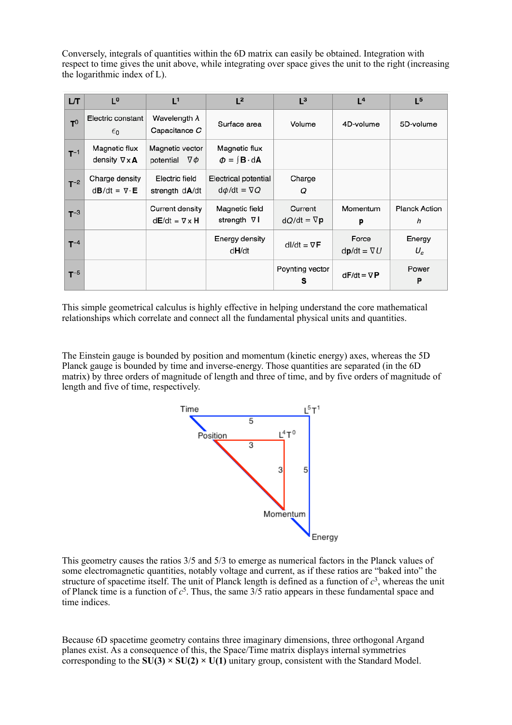Conversely, integrals of quantities within the 6D matrix can easily be obtained. Integration with respect to time gives the unit above, while integrating over space gives the unit to the right (increasing the logarithmic index of L).

| LТ       | $\mathsf{r}_\mathsf{o}$                                      | $L^1$                                        | L <sup>2</sup>                                              | $L^3$                         | L <sup>4</sup>              | L <sup>5</sup>              |
|----------|--------------------------------------------------------------|----------------------------------------------|-------------------------------------------------------------|-------------------------------|-----------------------------|-----------------------------|
| $T^0$    | Electric constant<br>$\epsilon_0$                            | Wavelength $\lambda$<br>Capacitance C        | Surface area                                                | Volume                        | 4D-volume                   | 5D-volume                   |
| $T^{-1}$ | Magnetic flux<br>density $\nabla \times A$                   | Magnetic vector<br>potential $\nabla \phi$   | Magnetic flux<br>$\phi = \int \mathbf{B} \cdot d\mathbf{A}$ |                               |                             |                             |
| $T^{-2}$ | Charge density<br>$d\mathbf{B}/dt = \nabla \cdot \mathbf{E}$ | Electric field<br>strength d <b>A</b> /dt    | Electrical potential<br>$d\phi/dt = \nabla Q$               | Charge<br>Q                   |                             |                             |
| $T^{-3}$ |                                                              | Current density<br>$dE/dt = \nabla \times H$ | Magnetic field<br>strength ∇ I                              | Current<br>$dQ/dt = \nabla p$ | Momentum<br>р               | <b>Planck Action</b><br>h   |
| $T^{-4}$ |                                                              |                                              | Energy density<br>d <b>H</b> /dt                            | $dI/dt = \nabla F$            | Force<br>$dp/dt = \nabla U$ | Energy<br>$U_{\varepsilon}$ |
| $T^{-5}$ |                                                              |                                              |                                                             | Poynting vector<br>s          | $dF/dt = \nabla P$          | Power<br>P                  |

This simple geometrical calculus is highly effective in helping understand the core mathematical relationships which correlate and connect all the fundamental physical units and quantities.

The Einstein gauge is bounded by position and momentum (kinetic energy) axes, whereas the 5D Planck gauge is bounded by time and inverse-energy. Those quantities are separated (in the 6D matrix) by three orders of magnitude of length and three of time, and by five orders of magnitude of length and five of time, respectively.



This geometry causes the ratios 3/5 and 5/3 to emerge as numerical factors in the Planck values of some electromagnetic quantities, notably voltage and current, as if these ratios are "baked into" the structure of spacetime itself. The unit of Planck length is defined as a function of  $c<sup>3</sup>$ , whereas the unit of Planck time is a function of  $c^5$ . Thus, the same  $3/5$  ratio appears in these fundamental space and time indices.

Because 6D spacetime geometry contains three imaginary dimensions, three orthogonal Argand planes exist. As a consequence of this, the Space/Time matrix displays internal symmetries corresponding to the  $SU(3) \times SU(2) \times U(1)$  unitary group, consistent with the Standard Model.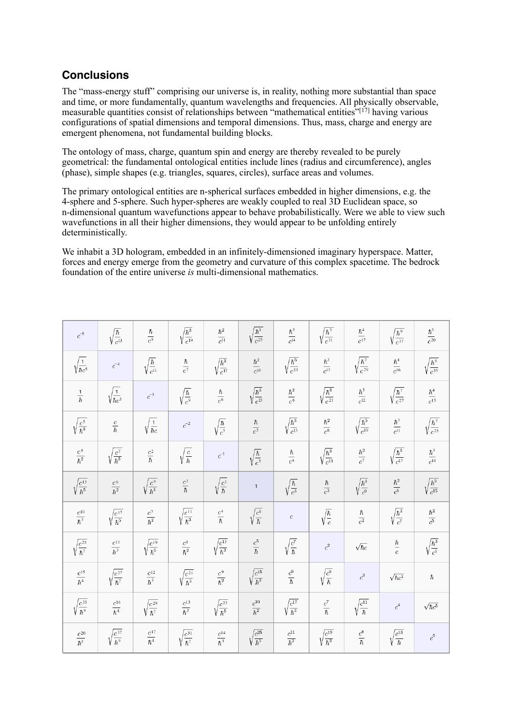# **Conclusions**

The "mass-energy stuff" comprising our universe is, in reality, nothing more substantial than space and time, or more fundamentally, quantum wavelengths and frequencies. All physically observable, measurable quantities consist of relationships between "mathematical entities"<sup>[17]</sup> having various configurations of spatial dimensions and temporal dimensions. Thus, mass, charge and energy are emergent phenomena, not fundamental building blocks.

The ontology of mass, charge, quantum spin and energy are thereby revealed to be purely geometrical: the fundamental ontological entities include lines (radius and circumference), angles (phase), simple shapes (e.g. triangles, squares, circles), surface areas and volumes.

The primary ontological entities are n-spherical surfaces embedded in higher dimensions, e.g. the 4-sphere and 5-sphere. Such hyper-spheres are weakly coupled to real 3D Euclidean space, so n-dimensional quantum wavefunctions appear to behave probabilistically. Were we able to view such wavefunctions in all their higher dimensions, they would appear to be unfolding entirely deterministically.

We inhabit a 3D hologram, embedded in an infinitely-dimensioned imaginary hyperspace. Matter, forces and energy emerge from the geometry and curvature of this complex spacetime. The bedrock foundation of the entire universe *is* multi-dimensional mathematics.

| $c^{-5}$                        | $\sqrt{\frac{\hbar}{c^{13}}}$   | $\frac{\hbar}{c^8}$             | $\sqrt{\frac{\hbar^3}{c^{19}}}$ | $\frac{\hbar^2}{c^{11}}$        | $\sqrt{\frac{\hbar^5}{c^{25}}}$ | $\frac{\hbar^3}{c^{14}}$        | $\sqrt{\frac{\hbar^7}{c^{31}}}$ | $\frac{\hbar^4}{c^{17}}$        | $\sqrt{\frac{\hbar^9}{c^{37}}}$ | $\frac{\hbar^5}{c^{20}}$        |
|---------------------------------|---------------------------------|---------------------------------|---------------------------------|---------------------------------|---------------------------------|---------------------------------|---------------------------------|---------------------------------|---------------------------------|---------------------------------|
| $\sqrt{\frac{1}{\hbar c^5}}$    | $\bar{c}^{-4}$                  | $\sqrt{\frac{\hbar}{c^{11}}}$   | $\frac{\hbar}{c^7}$             | $\sqrt{\frac{\hbar^3}{c^{17}}}$ | $\frac{\hbar^2}{c^{10}}$        | $\sqrt{\frac{\hbar^5}{c^{23}}}$ | $\frac{\hbar^3}{c^{13}}$        | $\sqrt{\frac{\hbar^7}{c^{29}}}$ | $\frac{\hbar^4}{c^{16}}$        | $\sqrt{\frac{\hbar^9}{c^{35}}}$ |
| $\frac{1}{\hbar}$               | $\sqrt{\frac{1}{\hbar c^3}}$    | $\bar{c}^{-3}$                  | $\sqrt{\frac{\hbar}{c^9}}$      | $\frac{\hbar}{c^6}$             | $\sqrt{\frac{\hbar^3}{c^{15}}}$ | $\frac{\hbar^2}{c^9}$           | $\sqrt{\frac{\hbar^5}{c^{21}}}$ | $\frac{\hbar^3}{c^{12}}$        | $\sqrt{\frac{\hbar^7}{c^{27}}}$ | $\frac{\hbar^4}{c^{15}}$        |
| $\sqrt{\frac{c^5}{\hbar^3}}$    | $\frac{c}{\hbar}$               | $\sqrt{\frac{1}{\hbar c}}$      | $\bar{c}^{-2}$                  | $\sqrt{\frac{\hbar}{c^7}}$      | $\frac{\hbar}{c^5}$             | $\sqrt{\frac{\hbar^3}{c^{13}}}$ | $\frac{\hbar^2}{c^8}$           | $\sqrt{\frac{\hbar^5}{c^{19}}}$ | $\frac{\hbar^3}{c^{11}}$        | $\sqrt{\frac{\hbar^7}{c^{25}}}$ |
| $\frac{c^5}{\hbar^2}$           | $\sqrt{\frac{c^7}{\hbar^3}}$    | $\frac{c^2}{\hbar}$             | $\sqrt{\frac{c}{\hbar}}$        | $\boldsymbol{c}^{-1}$           | $\sqrt{\frac{\hbar}{c^5}}$      | $\frac{\hbar}{c^4}$             | $\sqrt{\frac{\hbar^3}{c^{11}}}$ | $\frac{\hbar^2}{c^7}$           | $\sqrt{\frac{\hbar^5}{c^{17}}}$ | $\frac{\hbar^3}{c^{10}}$        |
| $\sqrt{\frac{c^{15}}{\hbar^5}}$ | $\frac{c^6}{\hbar^2}$           | $\sqrt{\frac{c^9}{\hbar^3}}$    | $\frac{c^3}{\hbar}$             | $\sqrt{\frac{c^3}{\hbar}}$      | $\mathbf{1}$                    | $\sqrt{\frac{\hbar}{c^3}}$      | $\frac{\hbar}{c^3}$             | $\sqrt{\frac{\hbar^3}{c^9}}$    | $\frac{\hbar^2}{c^6}$           | $\sqrt{\frac{\hbar^5}{c^{15}}}$ |
| $\frac{c^{10}}{\hbar^3}$        | $\sqrt{\frac{c^{17}}{\hbar^5}}$ | $\frac{c^7}{\hbar^2}$           | $\sqrt{\frac{c^{11}}{\hbar^3}}$ | $\frac{c^4}{\hbar}$             | $\sqrt{\frac{c^5}{\hbar}}$      | $\boldsymbol{c}$                | $\sqrt{\frac{\hbar}{c}}$        | $\frac{\hbar}{c^2}$             | $\sqrt{\frac{\hbar^3}{c^7}}$    | $\frac{\hbar^2}{c^5}$           |
| $\sqrt{\frac{c^{25}}{\hbar^7}}$ | $\frac{c^{11}}{\hbar^3}$        | $\sqrt{\frac{c^{19}}{\hbar^5}}$ | $\frac{c^8}{\hbar^2}$           | $\sqrt{\frac{c^{13}}{\hbar^3}}$ | $\frac{c^5}{\hbar}$             | $\sqrt{\frac{c^7}{\hbar}}$      | $\boldsymbol{c}^2$              | $\sqrt{\hbar c}$                | $\frac{\hbar}{c}$               | $\sqrt{\frac{\hbar^3}{c^5}}$    |
| $\frac{c^{15}}{\hbar^4}$        | $\sqrt{\frac{c^{27}}{\hbar^7}}$ | $\frac{c^{12}}{\hbar^3}$        | $\sqrt{\frac{c^{21}}{\hbar^5}}$ | $\frac{c^9}{\hbar^2}$           | $\sqrt{\frac{c^{15}}{\hbar^3}}$ | $\frac{c^6}{\hbar}$             | $\sqrt{\frac{c^9}{\hbar}}$      | $\boldsymbol{c}^3$              | $\sqrt{\hbar c^3}$              | $\hbar$                         |
| $\sqrt{\frac{c^{35}}{\hbar^9}}$ | $\frac{c^{16}}{\hbar^4}$        | $\sqrt{\frac{c^{29}}{\hbar^7}}$ | $\frac{c^{13}}{\hbar^3}$        | $\sqrt{\frac{c^{23}}{\hbar^5}}$ | $\frac{c^{10}}{\hbar^2}$        | $\sqrt{\frac{c^{17}}{\hbar^3}}$ | $\frac{c^7}{\hbar}$             | $\sqrt{\frac{c^{11}}{\hbar}}$   | $\boldsymbol{c}^4$              | $\sqrt{\hbar c^5}$              |
| $\frac{c^{20}}{\hbar^5}$        | $\sqrt{\frac{c^{37}}{\hbar^9}}$ | $\frac{c^{17}}{\hbar^4}$        | $\sqrt{\frac{c^{31}}{\hbar^7}}$ | $\frac{c^{14}}{\hbar^3}$        | $\sqrt{\frac{c^{25}}{\hbar^5}}$ | $\frac{c^{11}}{\hbar^2}$        | $\sqrt{\frac{c^{19}}{\hbar^3}}$ | $\frac{c^8}{\hbar}$             | $\sqrt{\frac{c^{13}}{\hbar}}$   | $\boldsymbol{c}^5$              |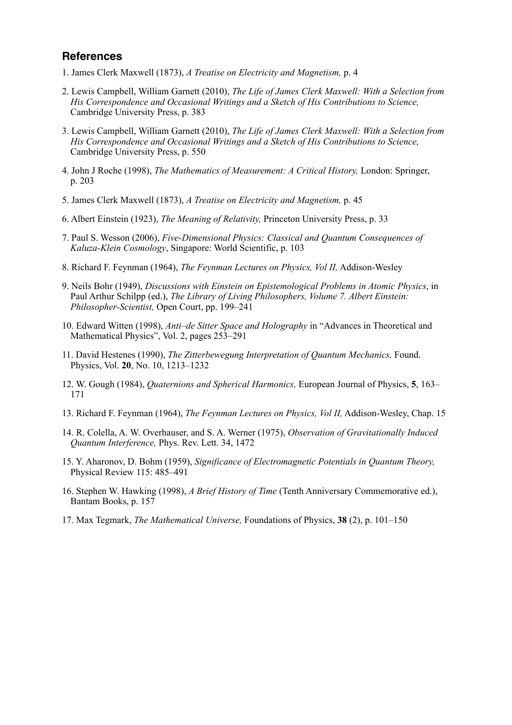#### **References**

- 1. James Clerk Maxwell (1873), *A Treatise on Electricity and Magnetism,* p. 4
- 2. Lewis Campbell, William Garnett (2010), *The Life of James Clerk Maxwell: With a Selection from His Correspondence and Occasional Writings and a Sketch of His Contributions to Science,* Cambridge University Press, p. 383
- 3. Lewis Campbell, William Garnett (2010), *The Life of James Clerk Maxwell: With a Selection from His Correspondence and Occasional Writings and a Sketch of His Contributions to Science,* Cambridge University Press, p. 550
- 4. John J Roche (1998), *The Mathematics of Measurement: A Critical History,* London: Springer, p. 203
- 5. James Clerk Maxwell (1873), *A Treatise on Electricity and Magnetism,* p. 45
- 6. Albert Einstein (1923), *The Meaning of Relativity,* Princeton University Press, p. 33
- 7. Paul S. Wesson (2006), *Five-Dimensional Physics: Classical and Quantum Consequences of Kaluza-Klein Cosmology*, Singapore: World Scientific, p. 103
- 8. Richard F. Feynman (1964), *The Feynman Lectures on Physics, Vol II,* Addison-Wesley
- 9. Neils Bohr (1949), *Discussions with Einstein on Epistemological Problems in Atomic Physics*, in Paul Arthur Schilpp (ed.), *The Library of Living Philosophers, Volume 7. Albert Einstein: Philosopher-Scientist,* Open Court, pp. 199–241
- 10. Edward Witten (1998), *Anti–de Sitter Space and Holography* in "Advances in Theoretical and Mathematical Physics", Vol. 2, pages 253–291
- 11. David Hestenes (1990), *The Zitterbewegung Interpretation of Quantum Mechanics,* Found. Physics, Vol. **20**, No. 10, 1213–1232
- 12. W. Gough (1984), *Quaternions and Spherical Harmonics,* European Journal of Physics, **5**, 163– 171
- 13. Richard F. Feynman (1964), *The Feynman Lectures on Physics, Vol II,* Addison-Wesley, Chap. 15
- 14. R. Colella, A. W. Overhauser, and S. A. Werner (1975), *Observation of Gravitationally Induced Quantum Interference,* Phys. Rev. Lett. 34, 1472
- 15. Y. Aharonov, D. Bohm (1959), *Significance of Electromagnetic Potentials in Quantum Theory,* Physical Review 115: 485–491
- 16. Stephen W. Hawking (1998), *A Brief History of Time* (Tenth Anniversary Commemorative ed.), Bantam Books, p. 157
- 17. Max Tegmark, *The Mathematical Universe,* Foundations of Physics, **38** (2), p. 101–150